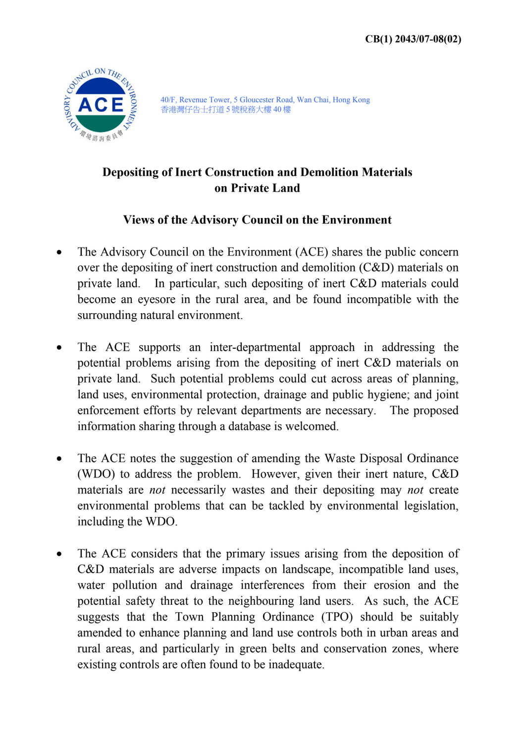

40/F, Revenue Tower, 5 Gloucester Road, Wan Chai, Hong Kong 香港灣仔告士打道 5 號稅務大樓 40 樓

## **Depositing of Inert Construction and Demolition Materials on Private Land**

## **Views of the Advisory Council on the Environment**

- The Advisory Council on the Environment (ACE) shares the public concern over the depositing of inert construction and demolition (C&D) materials on private land. In particular, such depositing of inert C&D materials could become an eyesore in the rural area, and be found incompatible with the surrounding natural environment.
- The ACE supports an inter-departmental approach in addressing the potential problems arising from the depositing of inert C&D materials on private land. Such potential problems could cut across areas of planning, land uses, environmental protection, drainage and public hygiene; and joint enforcement efforts by relevant departments are necessary. The proposed information sharing through a database is welcomed.
- The ACE notes the suggestion of amending the Waste Disposal Ordinance (WDO) to address the problem. However, given their inert nature, C&D materials are *not* necessarily wastes and their depositing may *not* create environmental problems that can be tackled by environmental legislation, including the WDO.
- The ACE considers that the primary issues arising from the deposition of C&D materials are adverse impacts on landscape, incompatible land uses, water pollution and drainage interferences from their erosion and the potential safety threat to the neighbouring land users. As such, the ACE suggests that the Town Planning Ordinance (TPO) should be suitably amended to enhance planning and land use controls both in urban areas and rural areas, and particularly in green belts and conservation zones, where existing controls are often found to be inadequate.